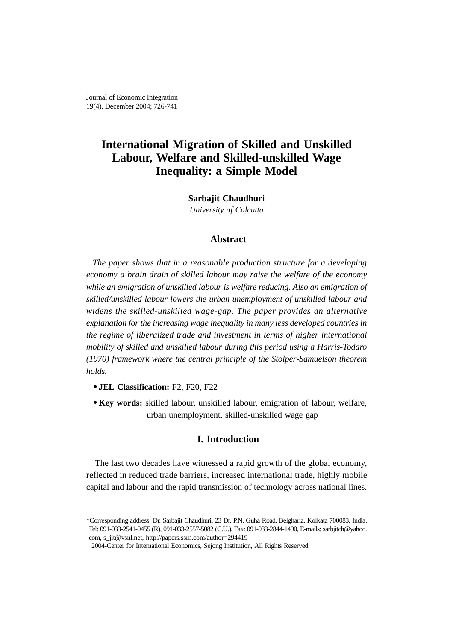Journal of Economic Integration 19(4), December 2004; 726-741

# **International Migration of Skilled and Unskilled Labour, Welfare and Skilled-unskilled Wage Inequality: a Simple Model**

**Sarbajit Chaudhuri** *University of Calcutta*

#### **Abstract**

*The paper shows that in a reasonable production structure for a developing economy a brain drain of skilled labour may raise the welfare of the economy while an emigration of unskilled labour is welfare reducing. Also an emigration of skilled/unskilled labour lowers the urban unemployment of unskilled labour and widens the skilled-unskilled wage-gap. The paper provides an alternative explanation for the increasing wage inequality in many less developed countries in the regime of liberalized trade and investment in terms of higher international mobility of skilled and unskilled labour during this period using a Harris-Todaro (1970) framework where the central principle of the Stolper-Samuelson theorem holds.*

- **JEL Classification:** F2, F20, F22
- **Key words:** skilled labour, unskilled labour, emigration of labour, welfare, urban unemployment, skilled-unskilled wage gap

## **I. Introduction**

The last two decades have witnessed a rapid growth of the global economy, reflected in reduced trade barriers, increased international trade, highly mobile capital and labour and the rapid transmission of technology across national lines.

<sup>\*</sup>Corresponding address: Dr. Sarbajit Chaudhuri, 23 Dr. P.N. Guha Road, Belgharia, Kolkata 700083, India. Tel: 091-033-2541-0455 (R), 091-033-2557-5082 (C.U.), Fax: 091-033-2844-1490, E-mails: sarbjitch@yahoo. com, s\_jit@vsnl.net, http://papers.ssrn.com/author=294419

<sup>2004-</sup>Center for International Economics, Sejong Institution, All Rights Reserved.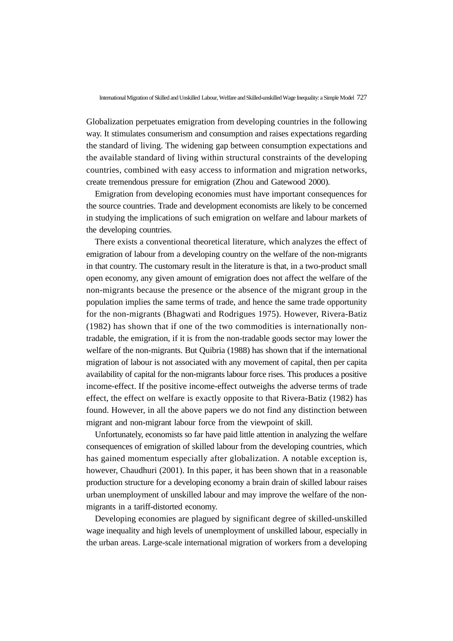Globalization perpetuates emigration from developing countries in the following way. It stimulates consumerism and consumption and raises expectations regarding the standard of living. The widening gap between consumption expectations and the available standard of living within structural constraints of the developing countries, combined with easy access to information and migration networks, create tremendous pressure for emigration (Zhou and Gatewood 2000).

Emigration from developing economies must have important consequences for the source countries. Trade and development economists are likely to be concerned in studying the implications of such emigration on welfare and labour markets of the developing countries.

There exists a conventional theoretical literature, which analyzes the effect of emigration of labour from a developing country on the welfare of the non-migrants in that country. The customary result in the literature is that, in a two-product small open economy, any given amount of emigration does not affect the welfare of the non-migrants because the presence or the absence of the migrant group in the population implies the same terms of trade, and hence the same trade opportunity for the non-migrants (Bhagwati and Rodrigues 1975). However, Rivera-Batiz (1982) has shown that if one of the two commodities is internationally nontradable, the emigration, if it is from the non-tradable goods sector may lower the welfare of the non-migrants. But Quibria (1988) has shown that if the international migration of labour is not associated with any movement of capital, then per capita availability of capital for the non-migrants labour force rises. This produces a positive income-effect. If the positive income-effect outweighs the adverse terms of trade effect, the effect on welfare is exactly opposite to that Rivera-Batiz (1982) has found. However, in all the above papers we do not find any distinction between migrant and non-migrant labour force from the viewpoint of skill.

Unfortunately, economists so far have paid little attention in analyzing the welfare consequences of emigration of skilled labour from the developing countries, which has gained momentum especially after globalization. A notable exception is, however, Chaudhuri (2001). In this paper, it has been shown that in a reasonable production structure for a developing economy a brain drain of skilled labour raises urban unemployment of unskilled labour and may improve the welfare of the nonmigrants in a tariff-distorted economy.

Developing economies are plagued by significant degree of skilled-unskilled wage inequality and high levels of unemployment of unskilled labour, especially in the urban areas. Large-scale international migration of workers from a developing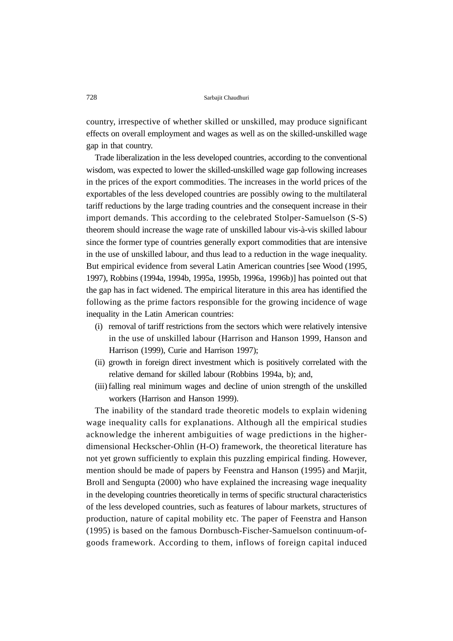country, irrespective of whether skilled or unskilled, may produce significant effects on overall employment and wages as well as on the skilled-unskilled wage gap in that country.

Trade liberalization in the less developed countries, according to the conventional wisdom, was expected to lower the skilled-unskilled wage gap following increases in the prices of the export commodities. The increases in the world prices of the exportables of the less developed countries are possibly owing to the multilateral tariff reductions by the large trading countries and the consequent increase in their import demands. This according to the celebrated Stolper-Samuelson (S-S) theorem should increase the wage rate of unskilled labour vis-à-vis skilled labour since the former type of countries generally export commodities that are intensive in the use of unskilled labour, and thus lead to a reduction in the wage inequality. But empirical evidence from several Latin American countries [see Wood (1995, 1997), Robbins (1994a, 1994b, 1995a, 1995b, 1996a, 1996b)] has pointed out that the gap has in fact widened. The empirical literature in this area has identified the following as the prime factors responsible for the growing incidence of wage inequality in the Latin American countries:

- (i) removal of tariff restrictions from the sectors which were relatively intensive in the use of unskilled labour (Harrison and Hanson 1999, Hanson and Harrison (1999), Curie and Harrison 1997);
- (ii) growth in foreign direct investment which is positively correlated with the relative demand for skilled labour (Robbins 1994a, b); and,
- (iii) falling real minimum wages and decline of union strength of the unskilled workers (Harrison and Hanson 1999).

The inability of the standard trade theoretic models to explain widening wage inequality calls for explanations. Although all the empirical studies acknowledge the inherent ambiguities of wage predictions in the higherdimensional Heckscher-Ohlin (H-O) framework, the theoretical literature has not yet grown sufficiently to explain this puzzling empirical finding. However, mention should be made of papers by Feenstra and Hanson (1995) and Marjit, Broll and Sengupta (2000) who have explained the increasing wage inequality in the developing countries theoretically in terms of specific structural characteristics of the less developed countries, such as features of labour markets, structures of production, nature of capital mobility etc. The paper of Feenstra and Hanson (1995) is based on the famous Dornbusch-Fischer-Samuelson continuum-ofgoods framework. According to them, inflows of foreign capital induced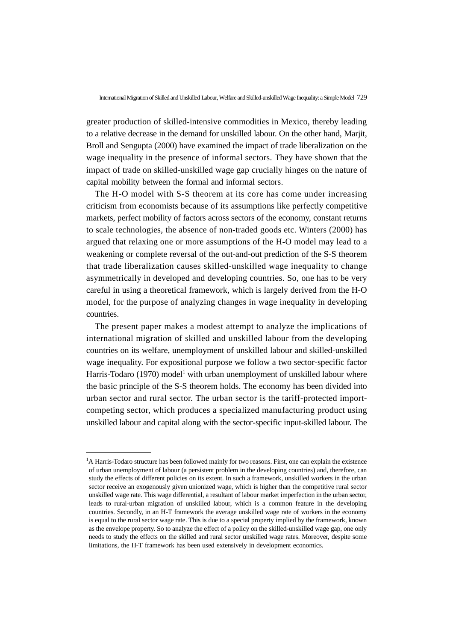greater production of skilled-intensive commodities in Mexico, thereby leading to a relative decrease in the demand for unskilled labour. On the other hand, Marjit, Broll and Sengupta (2000) have examined the impact of trade liberalization on the wage inequality in the presence of informal sectors. They have shown that the impact of trade on skilled-unskilled wage gap crucially hinges on the nature of capital mobility between the formal and informal sectors.

The H-O model with S-S theorem at its core has come under increasing criticism from economists because of its assumptions like perfectly competitive markets, perfect mobility of factors across sectors of the economy, constant returns to scale technologies, the absence of non-traded goods etc. Winters (2000) has argued that relaxing one or more assumptions of the H-O model may lead to a weakening or complete reversal of the out-and-out prediction of the S-S theorem that trade liberalization causes skilled-unskilled wage inequality to change asymmetrically in developed and developing countries. So, one has to be very careful in using a theoretical framework, which is largely derived from the H-O model, for the purpose of analyzing changes in wage inequality in developing countries.

The present paper makes a modest attempt to analyze the implications of international migration of skilled and unskilled labour from the developing countries on its welfare, unemployment of unskilled labour and skilled-unskilled wage inequality. For expositional purpose we follow a two sector-specific factor Harris-Todaro (1970) model<sup>1</sup> with urban unemployment of unskilled labour where the basic principle of the S-S theorem holds. The economy has been divided into urban sector and rural sector. The urban sector is the tariff-protected importcompeting sector, which produces a specialized manufacturing product using unskilled labour and capital along with the sector-specific input-skilled labour. The

<sup>&</sup>lt;sup>1</sup>A Harris-Todaro structure has been followed mainly for two reasons. First, one can explain the existence of urban unemployment of labour (a persistent problem in the developing countries) and, therefore, can study the effects of different policies on its extent. In such a framework, unskilled workers in the urban sector receive an exogenously given unionized wage, which is higher than the competitive rural sector unskilled wage rate. This wage differential, a resultant of labour market imperfection in the urban sector, leads to rural-urban migration of unskilled labour, which is a common feature in the developing countries. Secondly, in an H-T framework the average unskilled wage rate of workers in the economy is equal to the rural sector wage rate. This is due to a special property implied by the framework, known as the envelope property. So to analyze the effect of a policy on the skilled-unskilled wage gap, one only needs to study the effects on the skilled and rural sector unskilled wage rates. Moreover, despite some limitations, the H-T framework has been used extensively in development economics.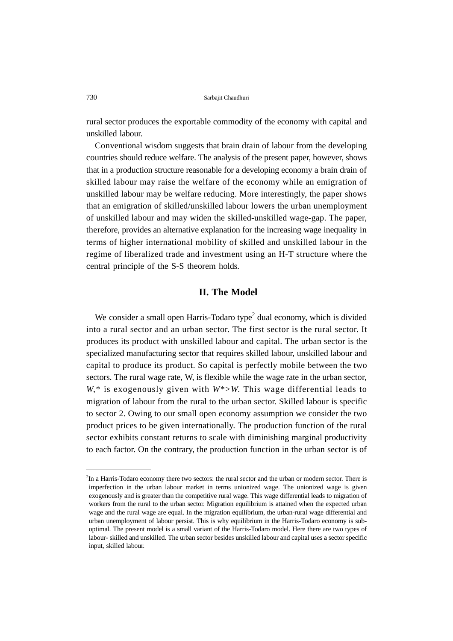rural sector produces the exportable commodity of the economy with capital and unskilled labour.

Conventional wisdom suggests that brain drain of labour from the developing countries should reduce welfare. The analysis of the present paper, however, shows that in a production structure reasonable for a developing economy a brain drain of skilled labour may raise the welfare of the economy while an emigration of unskilled labour may be welfare reducing. More interestingly, the paper shows that an emigration of skilled/unskilled labour lowers the urban unemployment of unskilled labour and may widen the skilled-unskilled wage-gap. The paper, therefore, provides an alternative explanation for the increasing wage inequality in terms of higher international mobility of skilled and unskilled labour in the regime of liberalized trade and investment using an H-T structure where the central principle of the S-S theorem holds.

# **II. The Model**

We consider a small open Harris-Todaro type<sup>2</sup> dual economy, which is divided into a rural sector and an urban sector. The first sector is the rural sector. It produces its product with unskilled labour and capital. The urban sector is the specialized manufacturing sector that requires skilled labour, unskilled labour and capital to produce its product. So capital is perfectly mobile between the two sectors. The rural wage rate, W, is flexible while the wage rate in the urban sector, *W*,\* is exogenously given with *W*\*>*W*. This wage differential leads to migration of labour from the rural to the urban sector. Skilled labour is specific to sector 2. Owing to our small open economy assumption we consider the two product prices to be given internationally. The production function of the rural sector exhibits constant returns to scale with diminishing marginal productivity to each factor. On the contrary, the production function in the urban sector is of

<sup>2</sup> In a Harris-Todaro economy there two sectors: the rural sector and the urban or modern sector. There is imperfection in the urban labour market in terms unionized wage. The unionized wage is given exogenously and is greater than the competitive rural wage. This wage differential leads to migration of workers from the rural to the urban sector. Migration equilibrium is attained when the expected urban wage and the rural wage are equal. In the migration equilibrium, the urban-rural wage differential and urban unemployment of labour persist. This is why equilibrium in the Harris-Todaro economy is suboptimal. The present model is a small variant of the Harris-Todaro model. Here there are two types of labour- skilled and unskilled. The urban sector besides unskilled labour and capital uses a sector specific input, skilled labour.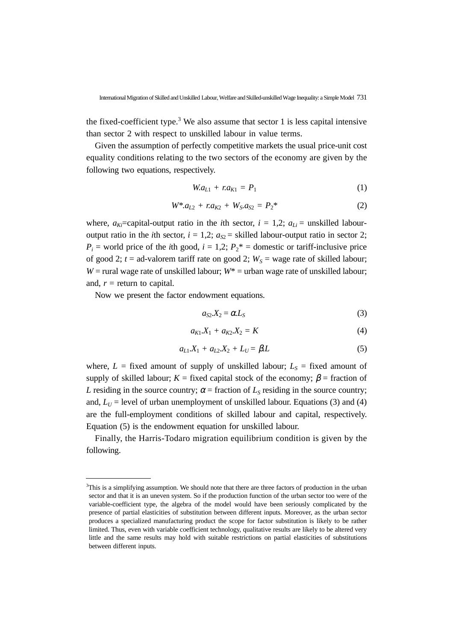the fixed-coefficient type.<sup>3</sup> We also assume that sector 1 is less capital intensive than sector 2 with respect to unskilled labour in value terms.

Given the assumption of perfectly competitive markets the usual price-unit cost equality conditions relating to the two sectors of the economy are given by the following two equations, respectively.

$$
W \cdot a_{L1} + r \cdot a_{K1} = P_1 \tag{1}
$$

$$
W^* a_{L2} + r a_{K2} + W_S a_{S2} = P_2^* \tag{2}
$$

where,  $a_{Ki}$ =capital-output ratio in the *i*th sector,  $i = 1,2$ ;  $a_{Li}$  = unskilled labouroutput ratio in the *i*th sector,  $i = 1,2$ ;  $a_{S2}$  = skilled labour-output ratio in sector 2;  $P_i$  = world price of the *i*th good,  $i = 1,2$ ;  $P_2$ <sup>\*</sup> = domestic or tariff-inclusive price of good 2;  $t =$  ad-valorem tariff rate on good 2;  $W_s =$  wage rate of skilled labour; *W* = rural wage rate of unskilled labour;  $W^*$  = urban wage rate of unskilled labour; and,  $r =$  return to capital.

Now we present the factor endowment equations.

$$
a_{S2}.X_2 = \alpha L_S \tag{3}
$$

$$
a_{K1}.X_1 + a_{K2}.X_2 = K \tag{4}
$$

$$
a_{L1}X_1 + a_{L2}X_2 + L_U = \beta L \tag{5}
$$

where,  $L =$  fixed amount of supply of unskilled labour;  $L<sub>S</sub> =$  fixed amount of supply of skilled labour;  $K =$  fixed capital stock of the economy;  $\beta =$  fraction of *L* residing in the source country;  $\alpha$  = fraction of  $L_s$  residing in the source country; and,  $L_U$  = level of urban unemployment of unskilled labour. Equations (3) and (4) are the full-employment conditions of skilled labour and capital, respectively. Equation (5) is the endowment equation for unskilled labour.

Finally, the Harris-Todaro migration equilibrium condition is given by the following.

<sup>&</sup>lt;sup>3</sup>This is a simplifying assumption. We should note that there are three factors of production in the urban sector and that it is an uneven system. So if the production function of the urban sector too were of the variable-coefficient type, the algebra of the model would have been seriously complicated by the presence of partial elasticities of substitution between different inputs. Moreover, as the urban sector produces a specialized manufacturing product the scope for factor substitution is likely to be rather limited. Thus, even with variable coefficient technology, qualitative results are likely to be altered very little and the same results may hold with suitable restrictions on partial elasticities of substitutions between different inputs.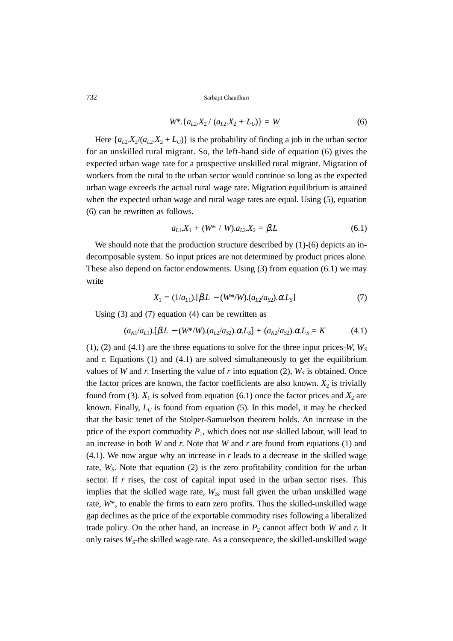$$
W^* \{a_{L2} X_2 / (a_{L2} X_2 + L_U)\} = W \tag{6}
$$

Here  $\{a_{L2}X_2/(a_{L2}X_2 + L_U)\}\$  is the probability of finding a job in the urban sector for an unskilled rural migrant. So, the left-hand side of equation (6) gives the expected urban wage rate for a prospective unskilled rural migrant. Migration of workers from the rural to the urban sector would continue so long as the expected urban wage exceeds the actual rural wage rate. Migration equilibrium is attained when the expected urban wage and rural wage rates are equal. Using (5), equation (6) can be rewritten as follows.

$$
a_{L1}X_1 + (W^* / W).a_{L2}X_2 = \beta L \tag{6.1}
$$

We should note that the production structure described by (1)-(6) depicts an indecomposable system. So input prices are not determined by product prices alone. These also depend on factor endowments. Using (3) from equation (6.1) we may write

$$
X_1 = (1/a_{L1}).[\beta L - (W^*/W). (a_{L2}/a_{S2}).\alpha L_S]
$$
\n(7)

Using  $(3)$  and  $(7)$  equation  $(4)$  can be rewritten as

$$
(a_{K1}/a_{L1}).[\beta L - (W^*/W). (a_{L2}/a_{S2}).\alpha L_S] + (a_{K2}/a_{S2}).\alpha L_S = K \qquad (4.1)
$$

(1), (2) and (4.1) are the three equations to solve for the three input prices-*W*,  $W_s$ and r. Equations (1) and (4.1) are solved simultaneously to get the equilibrium values of *W* and *r*. Inserting the value of *r* into equation (2),  $W<sub>S</sub>$  is obtained. Once the factor prices are known, the factor coefficients are also known.  $X_2$  is trivially found from (3).  $X_1$  is solved from equation (6.1) once the factor prices and  $X_2$  are known. Finally,  $L_U$  is found from equation (5). In this model, it may be checked that the basic tenet of the Stolper-Samuelson theorem holds. An increase in the price of the export commodity  $P_1$ , which does not use skilled labour, will lead to an increase in both *W* and *r*. Note that *W* and *r* are found from equations (1) and (4.1). We now argue why an increase in *r* leads to a decrease in the skilled wage rate, *W<sub>S</sub>*. Note that equation (2) is the zero profitability condition for the urban sector. If *r* rises, the cost of capital input used in the urban sector rises. This implies that the skilled wage rate,  $W<sub>S</sub>$ , must fall given the urban unskilled wage rate, *W*\*, to enable the firms to earn zero profits. Thus the skilled-unskilled wage gap declines as the price of the exportable commodity rises following a liberalized trade policy. On the other hand, an increase in  $P_2$  cannot affect both *W* and *r*. It only raises  $W<sub>S</sub>$ -the skilled wage rate. As a consequence, the skilled-unskilled wage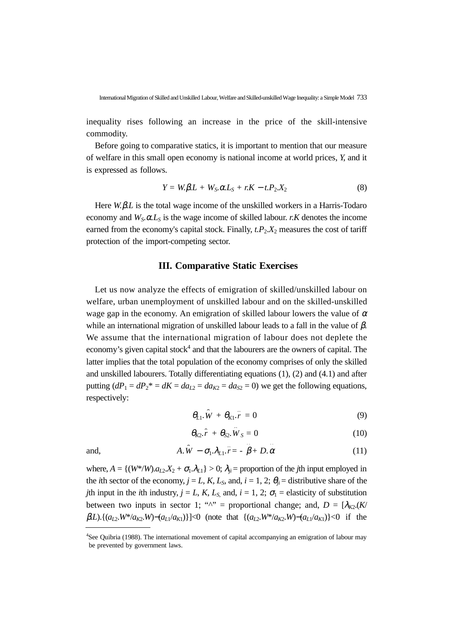inequality rises following an increase in the price of the skill-intensive commodity.

Before going to comparative statics, it is important to mention that our measure of welfare in this small open economy is national income at world prices, *Y*, and it is expressed as follows.

$$
Y = W_1 \beta L + W_S_2 \alpha L_S + rK - t P_2 X_2 \tag{8}
$$

Here *W.*β*.L* is the total wage income of the unskilled workers in a Harris-Todaro economy and  $W_S$ .  $\alpha L_S$  is the wage income of skilled labour. *r.K* denotes the income earned from the economy's capital stock. Finally,  $t.P_2.X_2$  measures the cost of tariff protection of the import-competing sector.

## **III. Comparative Static Exercises**

Let us now analyze the effects of emigration of skilled/unskilled labour on welfare, urban unemployment of unskilled labour and on the skilled-unskilled wage gap in the economy. An emigration of skilled labour lowers the value of  $\alpha$ while an international migration of unskilled labour leads to a fall in the value of  $\beta$ . We assume that the international migration of labour does not deplete the economy's given capital stock<sup>4</sup> and that the labourers are the owners of capital. The latter implies that the total population of the economy comprises of only the skilled and unskilled labourers. Totally differentiating equations (1), (2) and (4.1) and after putting  $(dP_1 = dP_2^* = dK = da_{L2} = da_{K2} = da_{S2} = 0)$  we get the following equations, respectively:

$$
\theta_{L1}.\hat{W} + \theta_{K1}.\hat{r} = 0 \tag{9}
$$

$$
\theta_{K2}.\hat{r} + \theta_{S2}.\hat{W}_S = 0 \tag{10}
$$

$$
\mathrm{nd},
$$

and, 
$$
A.\hat{W} - \sigma_1.\lambda_{L1}.\hat{r} = -\hat{\beta} + D.\hat{\alpha}
$$
 (11)

where,  $A = \{(W^*/W).a_{L2}X_2 + \sigma_1.\lambda_{L1}\} > 0$ ;  $\lambda_{ji}$  = proportion of the *j*th input employed in the *i*th sector of the economy,  $j = L, K, L_s$ , and,  $i = 1, 2$ ;  $\theta_{ij} =$  distributive share of the *j*th input in the *i*th industry,  $j = L$ , *K*,  $L_s$ , and,  $i = 1, 2$ ;  $\sigma_1$  = elasticity of substitution between two inputs in sector 1; " $^{\prime\prime}$ " = proportional change; and, *D* = [ $\lambda_{K2}(K)$  $\beta$ *L*).{( $a_{L2}$ *W*\*/ $a_{K2}$ *W*)−( $a_{L1}/a_{K1}$ )}]<0 (note that {( $a_{L2}$ *W*<sup>\*</sup>/ $a_{K2}$ *W*)−( $a_{L1}/a_{K1}$ )}<0 if the

<sup>4</sup> See Quibria (1988). The international movement of capital accompanying an emigration of labour may be prevented by government laws.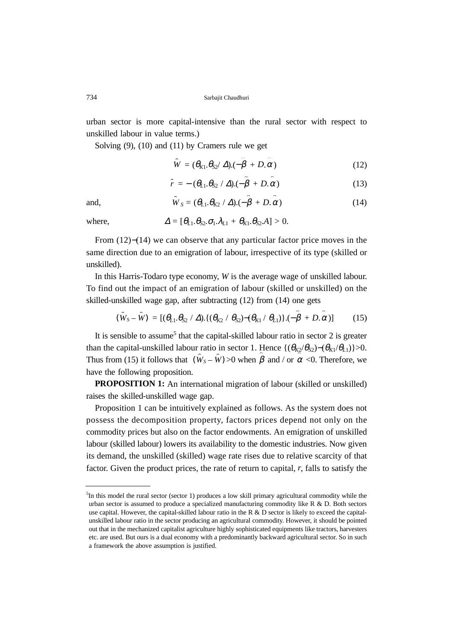urban sector is more capital-intensive than the rural sector with respect to unskilled labour in value terms.)

Solving (9), (10) and (11) by Cramers rule we get

$$
\hat{W} = (\theta_{K1}.\theta_{S2}/\Delta).(-\hat{\beta} + D.\hat{\alpha})
$$
\n(12)

$$
\hat{r} = -\left(\theta_{L1}\theta_{S2} / \Delta\right)\left(-\hat{\beta} + D.\hat{\alpha}\right) \tag{13}
$$

and, 
$$
\hat{W}_S = (\theta_{L1} \theta_{K2} / \Delta) \cdot (-\hat{\beta} + D \cdot \hat{\alpha})
$$
 (14)

where, 
$$
\Delta = [\theta_{L1} \theta_{S2} \cdot \sigma_1 \cdot \lambda_{L1} + \theta_{K1} \cdot \theta_{S2} \cdot A] > 0.
$$

From (12)−(14) we can observe that any particular factor price moves in the same direction due to an emigration of labour, irrespective of its type (skilled or unskilled).

In this Harris-Todaro type economy, *W* is the average wage of unskilled labour. To find out the impact of an emigration of labour (skilled or unskilled) on the skilled-unskilled wage gap, after subtracting (12) from (14) one gets

$$
(\hat{W}_S - \hat{W}) = [(\theta_{L1}.\theta_{S2} / \Delta). \{(\theta_{K2} / \theta_{S2}) - (\theta_{K1} / \theta_{L1})\}.(-\hat{\beta} + D.\hat{\alpha})] \tag{15}
$$

It is sensible to assume<sup>5</sup> that the capital-skilled labour ratio in sector 2 is greater than the capital-unskilled labour ratio in sector 1. Hence  $\{(\theta_{K2}/\theta_{S2})-(\theta_{K1}/\theta_{L1})\}>0$ . Thus from (15) it follows that  $(\hat{W}_s - \hat{W}) > 0$  when  $\hat{\beta}$  and / or  $\alpha < 0$ . Therefore, we have the following proposition.

**PROPOSITION 1:** An international migration of labour (skilled or unskilled) raises the skilled-unskilled wage gap.

Proposition 1 can be intuitively explained as follows. As the system does not possess the decomposition property, factors prices depend not only on the commodity prices but also on the factor endowments. An emigration of unskilled labour (skilled labour) lowers its availability to the domestic industries. Now given its demand, the unskilled (skilled) wage rate rises due to relative scarcity of that factor. Given the product prices, the rate of return to capital, *r*, falls to satisfy the

<sup>&</sup>lt;sup>5</sup>In this model the rural sector (sector 1) produces a low skill primary agricultural commodity while the urban sector is assumed to produce a specialized manufacturing commodity like  $R \& D$ . Both sectors use capital. However, the capital-skilled labour ratio in the R & D sector is likely to exceed the capitalunskilled labour ratio in the sector producing an agricultural commodity. However, it should be pointed out that in the mechanized capitalist agriculture highly sophisticated equipments like tractors, harvesters etc. are used. But ours is a dual economy with a predominantly backward agricultural sector. So in such a framework the above assumption is justified.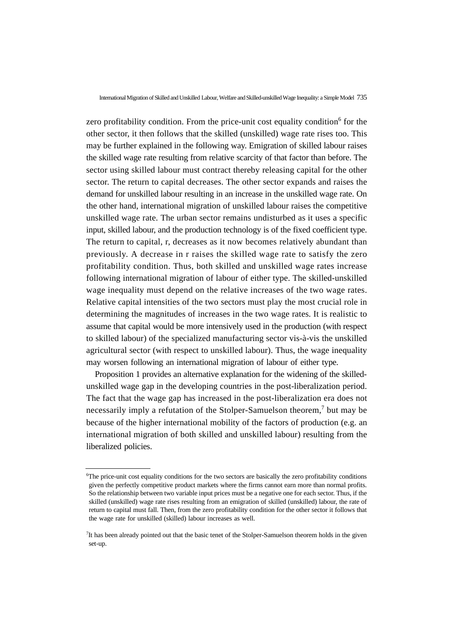zero profitability condition. From the price-unit cost equality condition<sup>6</sup> for the other sector, it then follows that the skilled (unskilled) wage rate rises too. This may be further explained in the following way. Emigration of skilled labour raises the skilled wage rate resulting from relative scarcity of that factor than before. The sector using skilled labour must contract thereby releasing capital for the other sector. The return to capital decreases. The other sector expands and raises the demand for unskilled labour resulting in an increase in the unskilled wage rate. On the other hand, international migration of unskilled labour raises the competitive unskilled wage rate. The urban sector remains undisturbed as it uses a specific input, skilled labour, and the production technology is of the fixed coefficient type. The return to capital, r, decreases as it now becomes relatively abundant than previously. A decrease in r raises the skilled wage rate to satisfy the zero profitability condition. Thus, both skilled and unskilled wage rates increase following international migration of labour of either type. The skilled-unskilled wage inequality must depend on the relative increases of the two wage rates. Relative capital intensities of the two sectors must play the most crucial role in determining the magnitudes of increases in the two wage rates. It is realistic to assume that capital would be more intensively used in the production (with respect to skilled labour) of the specialized manufacturing sector vis-à-vis the unskilled agricultural sector (with respect to unskilled labour). Thus, the wage inequality may worsen following an international migration of labour of either type.

Proposition 1 provides an alternative explanation for the widening of the skilledunskilled wage gap in the developing countries in the post-liberalization period. The fact that the wage gap has increased in the post-liberalization era does not necessarily imply a refutation of the Stolper-Samuelson theorem,<sup>7</sup> but may be because of the higher international mobility of the factors of production (e.g. an international migration of both skilled and unskilled labour) resulting from the liberalized policies.

<sup>6</sup> The price-unit cost equality conditions for the two sectors are basically the zero profitability conditions given the perfectly competitive product markets where the firms cannot earn more than normal profits. So the relationship between two variable input prices must be a negative one for each sector. Thus, if the skilled (unskilled) wage rate rises resulting from an emigration of skilled (unskilled) labour, the rate of return to capital must fall. Then, from the zero profitability condition for the other sector it follows that the wage rate for unskilled (skilled) labour increases as well.

<sup>&</sup>lt;sup>7</sup>It has been already pointed out that the basic tenet of the Stolper-Samuelson theorem holds in the given set-up.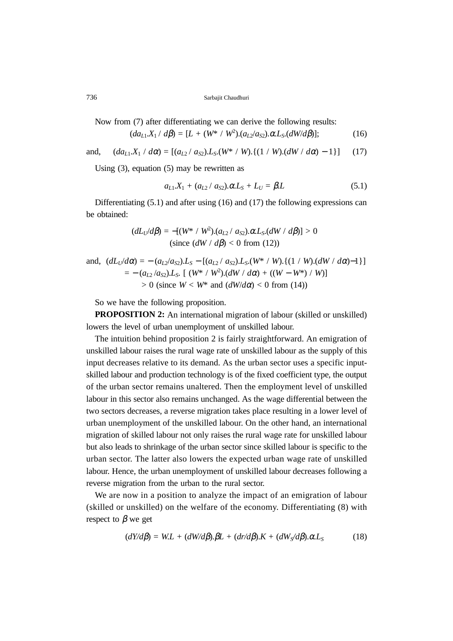Now from (7) after differentiating we can derive the following results:

$$
(da_{L1}X_1 \, / \, d\beta) = [L + (W^* \, / \, W^2). (a_{L2}/a_{S2}). \alpha L_S. (dW/d\beta)]; \tag{16}
$$

and,  $(da_{L1}.X_1 / d\alpha) = [(a_{L2} / a_{S2}).L_S.(W^* / W).{(1 / W).}(dW / d\alpha) - 1)]$  (17)

Using (3), equation (5) may be rewritten as

$$
a_{L1}X_1 + (a_{L2}/ a_{S2}) \cdot \alpha L_S + L_U = \beta L \tag{5.1}
$$

Differentiating (5.1) and after using (16) and (17) the following expressions can be obtained:

$$
(dL_U/d\beta) = -[(W^* / W^2) \cdot (a_{L2} / a_{S2}) \cdot \alpha L_S \cdot (dW / d\beta)] > 0
$$
  
(since  $(dW / d\beta) < 0$  from (12))

and, 
$$
(dL_U/d\alpha) = -(a_{L2}/a_{S2}).L_S - [(a_{L2}/ a_{S2}).L_S.(W^* / W).((1 / W).(dW / d\alpha)-1)]
$$
  
=  $-(a_{L2}/a_{S2}).L_S.$  [(W^\* / W<sup>2</sup>).(dW / d\alpha) + ((W – W^\*) / W)]  
> 0 (since W < W^\* and (dW/d\alpha) < 0 from (14))

So we have the following proposition.

**PROPOSITION 2:** An international migration of labour (skilled or unskilled) lowers the level of urban unemployment of unskilled labour.

The intuition behind proposition 2 is fairly straightforward. An emigration of unskilled labour raises the rural wage rate of unskilled labour as the supply of this input decreases relative to its demand. As the urban sector uses a specific inputskilled labour and production technology is of the fixed coefficient type, the output of the urban sector remains unaltered. Then the employment level of unskilled labour in this sector also remains unchanged. As the wage differential between the two sectors decreases, a reverse migration takes place resulting in a lower level of urban unemployment of the unskilled labour. On the other hand, an international migration of skilled labour not only raises the rural wage rate for unskilled labour but also leads to shrinkage of the urban sector since skilled labour is specific to the urban sector. The latter also lowers the expected urban wage rate of unskilled labour. Hence, the urban unemployment of unskilled labour decreases following a reverse migration from the urban to the rural sector.

We are now in a position to analyze the impact of an emigration of labour (skilled or unskilled) on the welfare of the economy. Differentiating (8) with respect to  $\beta$  we get

$$
(dY/d\beta) = WL + (dW/d\beta). \beta L + (dr/d\beta).K + (dW_S/d\beta). \alpha L_S
$$
 (18)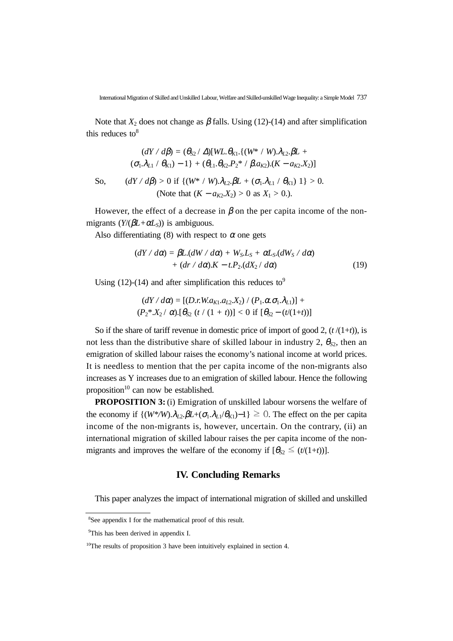Note that  $X_2$  does not change as  $\beta$  falls. Using (12)-(14) and after simplification this reduces to  $8$ 

$$
(dY \mid d\beta) = (\theta_{S2} \mid \Delta)[WL \cdot \theta_{K1}. \{(W^* \mid W). \lambda_{L2}. \beta L + (\sigma_1 \cdot \lambda_{L1} \mid \theta_{K1}) - 1\} + (\theta_{L1} \cdot \theta_{K2}. P_2^* \mid \beta \cdot a_{K2}). (K - a_{K2}. X_2)]
$$
  
So, 
$$
(dY \mid d\beta) > 0 \text{ if } \{(W^* \mid W). \lambda_{L2}. \beta L + (\sigma_1 \cdot \lambda_{L1} \mid \theta_{K1}) 1\} > 0.
$$
(Note that  $(K - a_{K2}. X_2) > 0$  as  $X_1 > 0$ .)

However, the effect of a decrease in  $\beta$  on the per capita income of the non-

migrants  $(Y/(\beta L+\alpha L_s))$  is ambiguous.

Also differentiating (8) with respect to  $\alpha$  one gets

$$
(dY / d\alpha) = \beta L.(dW / d\alpha) + W_S.L_S + \alpha L_S.(dW_S / d\alpha)
$$
  
+ 
$$
(dr / d\alpha).K - t.P_2.(dX_2 / d\alpha)
$$
 (19)

Using (12)-(14) and after simplification this reduces to<sup>9</sup>

$$
(dY/d\alpha) = [(D.r.W.a_{K1}.a_{L2}.X_2) / (P_1.\alpha.\sigma_1.\lambda_{L1})] + (P_2 * X_2 / \alpha).[\theta_{S2} (t / (1 + t))] < 0 \text{ if } [\theta_{S2} - (t/(1 + t))]
$$

So if the share of tariff revenue in domestic price of import of good 2,  $(t/(1+t))$ , is not less than the distributive share of skilled labour in industry 2,  $\theta_{S2}$ , then an emigration of skilled labour raises the economy's national income at world prices. It is needless to mention that the per capita income of the non-migrants also increases as Y increases due to an emigration of skilled labour. Hence the following proposition<sup>10</sup> can now be established.

**PROPOSITION 3:** (i) Emigration of unskilled labour worsens the welfare of the economy if  $\{(W^*/W) \cdot \lambda_{1,2} \cdot \beta L + (\sigma_1 \cdot \lambda_{L1}/\theta_{K1}) - 1\} \geq 0$ . The effect on the per capita income of the non-migrants is, however, uncertain. On the contrary, (ii) an international migration of skilled labour raises the per capita income of the nonmigrants and improves the welfare of the economy if  $[\theta_{S2} \leq (t/(1+t))]$ .

#### **IV. Concluding Remarks**

This paper analyzes the impact of international migration of skilled and unskilled

<sup>8</sup> See appendix I for the mathematical proof of this result.

<sup>&</sup>lt;sup>9</sup>This has been derived in appendix I.

 $10$ The results of proposition 3 have been intuitively explained in section 4.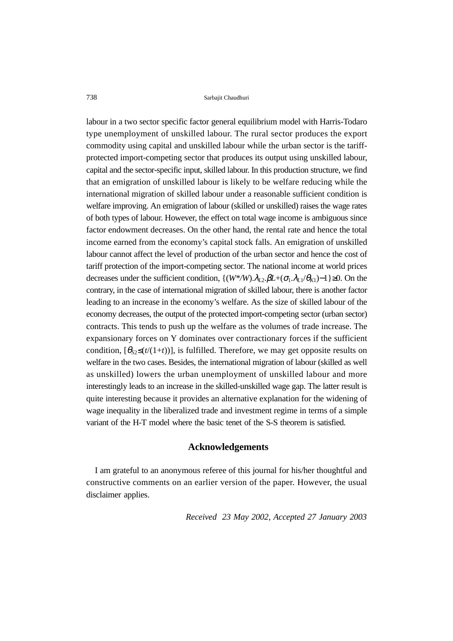labour in a two sector specific factor general equilibrium model with Harris-Todaro type unemployment of unskilled labour. The rural sector produces the export commodity using capital and unskilled labour while the urban sector is the tariffprotected import-competing sector that produces its output using unskilled labour, capital and the sector-specific input, skilled labour. In this production structure, we find that an emigration of unskilled labour is likely to be welfare reducing while the international migration of skilled labour under a reasonable sufficient condition is welfare improving. An emigration of labour (skilled or unskilled) raises the wage rates of both types of labour. However, the effect on total wage income is ambiguous since factor endowment decreases. On the other hand, the rental rate and hence the total income earned from the economy's capital stock falls. An emigration of unskilled labour cannot affect the level of production of the urban sector and hence the cost of tariff protection of the import-competing sector. The national income at world prices decreases under the sufficient condition,  $\{(W^*/W) \cdot \lambda_{L2} \cdot \beta L + (\sigma_1 \cdot \lambda_{L1}/\theta_{K1}) - 1\} \ge 0$ . On the contrary, in the case of international migration of skilled labour, there is another factor leading to an increase in the economy's welfare. As the size of skilled labour of the economy decreases, the output of the protected import-competing sector (urban sector) contracts. This tends to push up the welfare as the volumes of trade increase. The expansionary forces on Y dominates over contractionary forces if the sufficient condition,  $[\theta_{S2} \leq (t/(1+t))]$ , is fulfilled. Therefore, we may get opposite results on welfare in the two cases. Besides, the international migration of labour (skilled as well as unskilled) lowers the urban unemployment of unskilled labour and more interestingly leads to an increase in the skilled-unskilled wage gap. The latter result is quite interesting because it provides an alternative explanation for the widening of wage inequality in the liberalized trade and investment regime in terms of a simple variant of the H-T model where the basic tenet of the S-S theorem is satisfied.

#### **Acknowledgements**

I am grateful to an anonymous referee of this journal for his/her thoughtful and constructive comments on an earlier version of the paper. However, the usual disclaimer applies.

*Received 23 May 2002, Accepted 27 January 2003*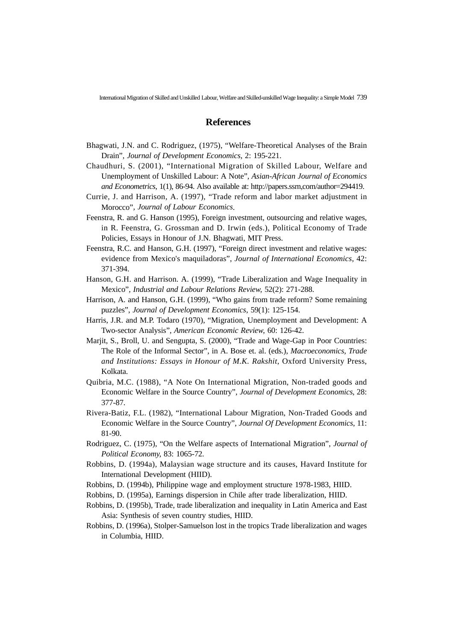#### **References**

- Bhagwati, J.N. and C. Rodriguez, (1975), "Welfare-Theoretical Analyses of the Brain Drain", *Journal of Development Economics*, 2: 195-221.
- Chaudhuri, S. (2001), "International Migration of Skilled Labour, Welfare and Unemployment of Unskilled Labour: A Note", *Asian-African Journal of Economics and Econometrics*, 1(1), 86-94. Also available at: http://papers.ssrn,com/author=294419.
- Currie, J. and Harrison, A. (1997), "Trade reform and labor market adjustment in Morocco"*, Journal of Labour Economics*.
- Feenstra, R. and G. Hanson (1995), Foreign investment, outsourcing and relative wages, in R. Feenstra, G. Grossman and D. Irwin (eds.), Political Economy of Trade Policies, Essays in Honour of J.N. Bhagwati, MIT Press.
- Feenstra, R.C. and Hanson, G.H. (1997), "Foreign direct investment and relative wages: evidence from Mexico's maquiladoras", *Journal of International Economics*, 42: 371-394.
- Hanson, G.H. and Harrison. A. (1999), "Trade Liberalization and Wage Inequality in Mexico", *Industrial and Labour Relations Review*, 52(2): 271-288.
- Harrison, A. and Hanson, G.H. (1999), "Who gains from trade reform? Some remaining puzzles", *Journal of Development Economics*, 59(1): 125-154.
- Harris, J.R. and M.P. Todaro (1970), "Migration, Unemployment and Development: A Two-sector Analysis", *American Economic Review*, 60: 126-42.
- Marjit, S., Broll, U. and Sengupta, S. (2000), "Trade and Wage-Gap in Poor Countries: The Role of the Informal Sector", in A. Bose et. al. (eds.), *Macroeconomics, Trade and Institutions: Essays in Honour of M.K. Rakshit*, Oxford University Press, Kolkata.
- Quibria, M.C. (1988), "A Note On International Migration, Non-traded goods and Economic Welfare in the Source Country", *Journal of Development Economics*, 28: 377-87.
- Rivera-Batiz, F.L. (1982), "International Labour Migration, Non-Traded Goods and Economic Welfare in the Source Country", *Journal Of Development Economics*, 11: 81-90.
- Rodriguez, C. (1975), "On the Welfare aspects of International Migration", *Journal of Political Economy*, 83: 1065-72.
- Robbins, D. (1994a), Malaysian wage structure and its causes, Havard Institute for International Development (HIID).
- Robbins, D. (1994b), Philippine wage and employment structure 1978-1983, HIID.
- Robbins, D. (1995a), Earnings dispersion in Chile after trade liberalization, HIID.
- Robbins, D. (1995b), Trade, trade liberalization and inequality in Latin America and East Asia: Synthesis of seven country studies, HIID.
- Robbins, D. (1996a), Stolper-Samuelson lost in the tropics Trade liberalization and wages in Columbia, HIID.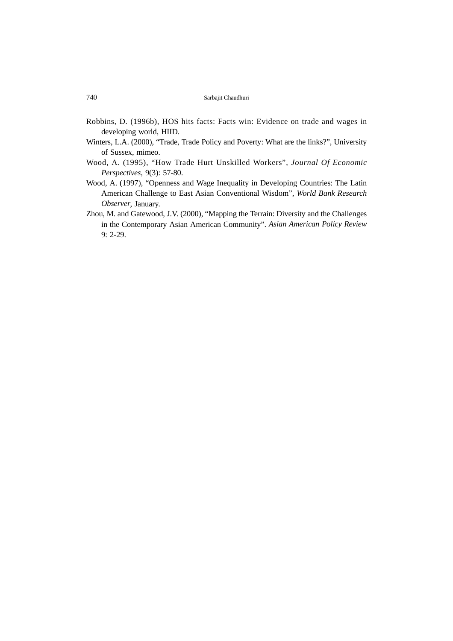- Robbins, D. (1996b), HOS hits facts: Facts win: Evidence on trade and wages in developing world, HIID.
- Winters, L.A. (2000), "Trade, Trade Policy and Poverty: What are the links?", University of Sussex, mimeo.
- Wood, A. (1995), "How Trade Hurt Unskilled Workers", *Journal Of Economic Perspectives*, 9(3): 57-80.
- Wood, A. (1997), "Openness and Wage Inequality in Developing Countries: The Latin American Challenge to East Asian Conventional Wisdom", *World Bank Research Observer*, January.
- Zhou, M. and Gatewood, J.V. (2000), "Mapping the Terrain: Diversity and the Challenges in the Contemporary Asian American Community". *Asian American Policy Review* 9: 2-29.